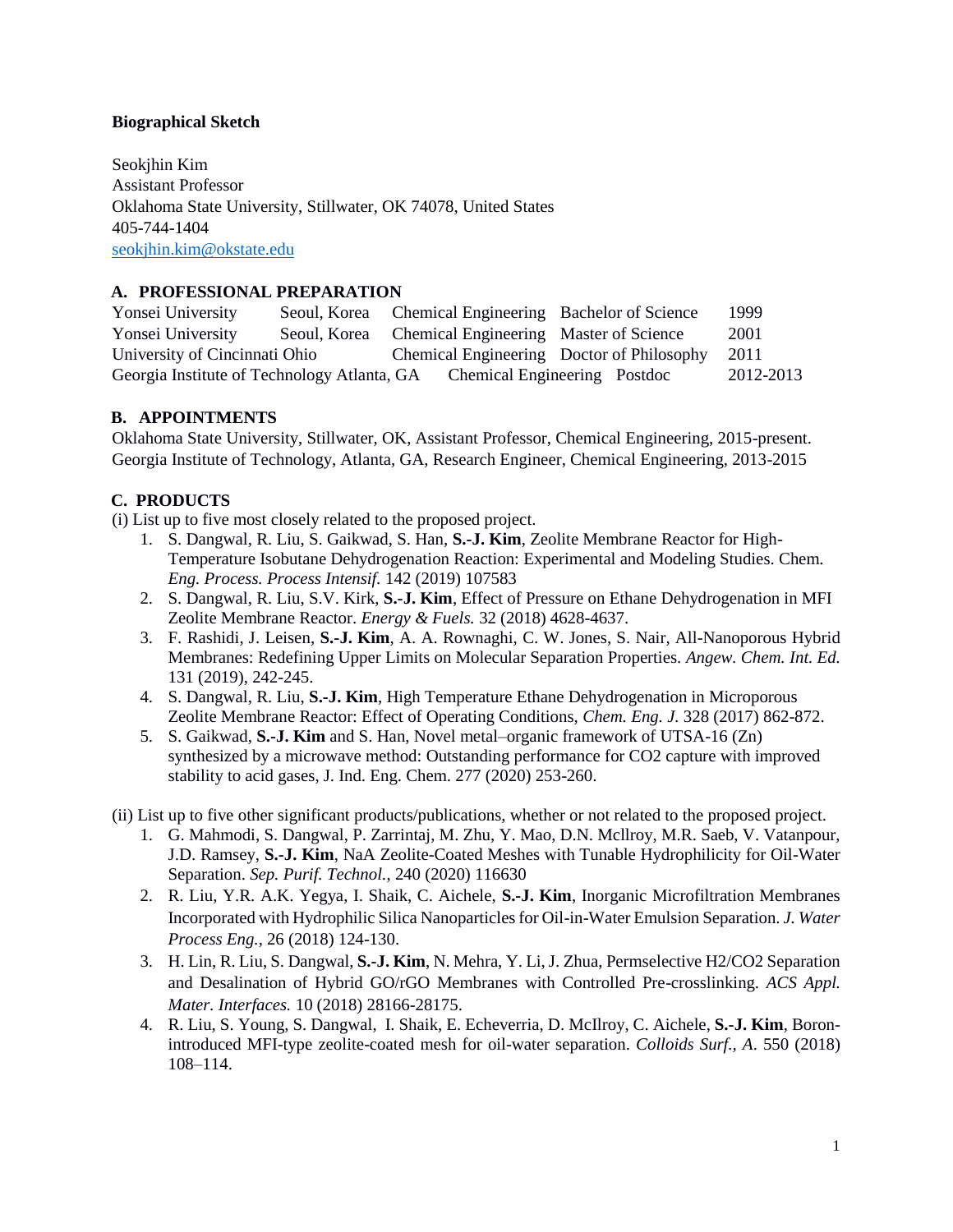## **Biographical Sketch**

Seokjhin Kim Assistant Professor Oklahoma State University, Stillwater, OK 74078, United States 405-744-1404 [seokjhin.kim@okstate.edu](mailto:seokjhin.kim@okstate.edu)

# **A. PROFESSIONAL PREPARATION**

| Yonsei University                           | Seoul, Korea Chemical Engineering Bachelor of Science |                                           |  | 1999      |
|---------------------------------------------|-------------------------------------------------------|-------------------------------------------|--|-----------|
| Yonsei University                           | Seoul, Korea Chemical Engineering Master of Science   |                                           |  | 2001      |
| University of Cincinnati Ohio               |                                                       | Chemical Engineering Doctor of Philosophy |  | 2011      |
| Georgia Institute of Technology Atlanta, GA |                                                       | Chemical Engineering Postdoc              |  | 2012-2013 |

## **B. APPOINTMENTS**

Oklahoma State University, Stillwater, OK, Assistant Professor, Chemical Engineering, 2015-present. Georgia Institute of Technology, Atlanta, GA, Research Engineer, Chemical Engineering, 2013-2015

# **C. PRODUCTS**

(i) List up to five most closely related to the proposed project.

- 1. S. Dangwal, R. Liu, S. Gaikwad, S. Han, **S.-J. Kim**, Zeolite Membrane Reactor for High-Temperature Isobutane Dehydrogenation Reaction: Experimental and Modeling Studies. Chem. *Eng. Process. Process Intensif.* 142 (2019) 107583
- 2. S. Dangwal, R. Liu, S.V. Kirk, **S.-J. Kim**, Effect of Pressure on Ethane Dehydrogenation in MFI Zeolite Membrane Reactor. *Energy & Fuels.* 32 (2018) 4628-4637.
- 3. F. Rashidi, J. Leisen, **S.-J. Kim**, A. A. Rownaghi, C. W. Jones, S. Nair, All-Nanoporous Hybrid Membranes: Redefining Upper Limits on Molecular Separation Properties. *Angew. Chem. Int. Ed.* 131 (2019), 242-245.
- 4. S. Dangwal, R. Liu, **S.-J. Kim**, High Temperature Ethane Dehydrogenation in Microporous Zeolite Membrane Reactor: Effect of Operating Conditions, *Chem. Eng. J.* 328 (2017) 862-872.
- 5. S. Gaikwad, **S.-J. Kim** and S. Han, Novel metal–organic framework of UTSA-16 (Zn) synthesized by a microwave method: Outstanding performance for CO2 capture with improved stability to acid gases, J. Ind. Eng. Chem. 277 (2020) 253-260.

(ii) List up to five other significant products/publications, whether or not related to the proposed project.

- 1. G. Mahmodi, S. Dangwal, P. Zarrintaj, M. Zhu, Y. Mao, D.N. Mcllroy, M.R. Saeb, V. Vatanpour, J.D. Ramsey, **S.-J. Kim**, NaA Zeolite-Coated Meshes with Tunable Hydrophilicity for Oil-Water Separation. *Sep. Purif. Technol.*, 240 (2020) 116630
- 2. R. Liu, Y.R. A.K. Yegya, I. Shaik, C. Aichele, **S.-J. Kim**, Inorganic Microfiltration Membranes Incorporated with Hydrophilic Silica Nanoparticles for Oil-in-Water Emulsion Separation. *J. Water Process Eng.*, 26 (2018) 124-130.
- 3. H. Lin, R. Liu, S. Dangwal, **S.-J. Kim**, N. Mehra, Y. Li, J. Zhua, Permselective H2/CO2 Separation and Desalination of Hybrid GO/rGO Membranes with Controlled Pre-crosslinking. *ACS Appl. Mater. Interfaces.* 10 (2018) 28166-28175.
- 4. R. Liu, S. Young, S. Dangwal, I. Shaik, E. Echeverria, D. McIlroy, C. Aichele, **S.-J. Kim**, Boronintroduced MFI-type zeolite-coated mesh for oil-water separation. *Colloids Surf., A*. 550 (2018) 108–114.